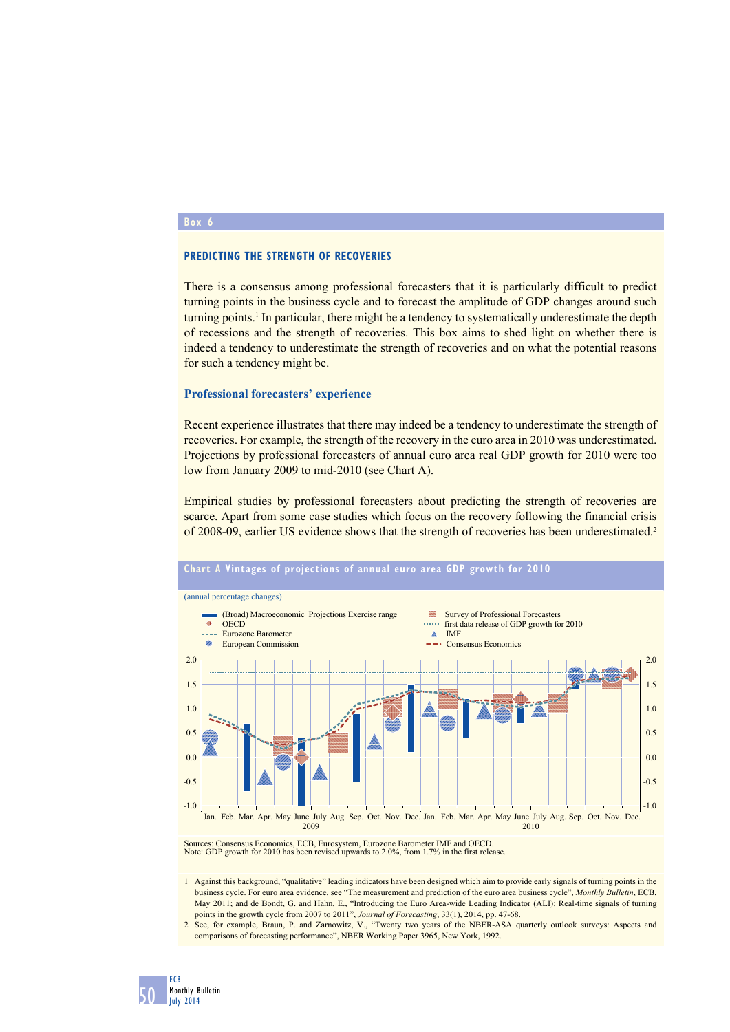## **Box 6**

## **PREDICTING THE STRENGTH OF RECOVERIES**

There is a consensus among professional forecasters that it is particularly difficult to predict turning points in the business cycle and to forecast the amplitude of GDP changes around such turning points.<sup>1</sup> In particular, there might be a tendency to systematically underestimate the depth of recessions and the strength of recoveries. This box aims to shed light on whether there is indeed a tendency to underestimate the strength of recoveries and on what the potential reasons for such a tendency might be.

### **Professional forecasters' experience**

Recent experience illustrates that there may indeed be a tendency to underestimate the strength of recoveries. For example, the strength of the recovery in the euro area in 2010 was underestimated. Projections by professional forecasters of annual euro area real GDP growth for 2010 were too low from January 2009 to mid-2010 (see Chart A).

Empirical studies by professional forecasters about predicting the strength of recoveries are scarce. Apart from some case studies which focus on the recovery following the financial crisis of 2008-09, earlier US evidence shows that the strength of recoveries has been underestimated.2



Note: GDP growth for 2010 has been revised upwards to 2.0%, from 1.7% in the first release.

1 Against this background, "qualitative" leading indicators have been designed which aim to provide early signals of turning points in the business cycle. For euro area evidence, see "The measurement and prediction of the euro area business cycle", *Monthly Bulletin*, ECB, May 2011; and de Bondt, G. and Hahn, E., "Introducing the Euro Area-wide Leading Indicator (ALI): Real-time signals of turning points in the growth cycle from 2007 to 2011", *Journal of Forecasting*, 33(1), 2014, pp. 47-68.

2 See, for example, Braun, P. and Zarnowitz, V., "Twenty two years of the NBER-ASA quarterly outlook surveys: Aspects and comparisons of forecasting performance", NBER Working Paper 3965, New York, 1992.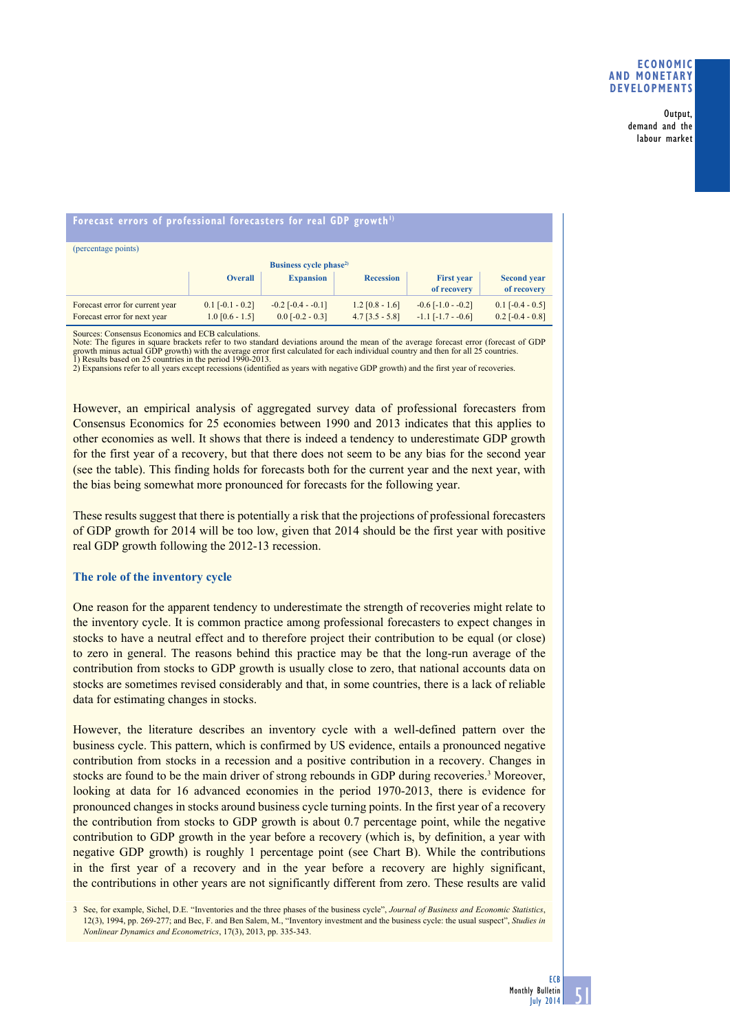#### Output, demand and the labour market

# Forecast errors of professional forecasters for real GDP growth<sup>1)</sup>

| (percentage points)                                             |                                         |                                               |                                        |                                                   |                                          |
|-----------------------------------------------------------------|-----------------------------------------|-----------------------------------------------|----------------------------------------|---------------------------------------------------|------------------------------------------|
| Business cycle phase <sup>2)</sup>                              |                                         |                                               |                                        |                                                   |                                          |
|                                                                 | <b>Overall</b>                          | <b>Expansion</b>                              | <b>Recession</b>                       | <b>First year</b><br>of recovery                  | <b>Second year</b><br>of recovery        |
| Forecast error for current year<br>Forecast error for next year | $0.1$ [-0.1 - 0.2]<br>$1.0$ [0.6 - 1.5] | $-0.2$ [ $-0.4 - 0.1$ ]<br>$0.0$ [-0.2 - 0.3] | $1.2$ [0.8 - 1.6]<br>$4.7$ [3.5 - 5.8] | $-0.6$ [ $-1.0$ $-0.2$ ]<br>$-1.1$ $[-1.7 - 0.6]$ | $0.1$ [-0.4 - 0.5]<br>$0.2$ [-0.4 - 0.8] |

Sources: Consensus Economics and ECB calculations.

Note: The figures in square brackets refer to two standard deviations around the mean of the average forecast error (forecast of GDP<br>growth minus actual GDP growth) with the average error first calculated for each individu

2) Expansions refer to all years except recessions (identified as years with negative GDP growth) and the first year of recoveries.

However, an empirical analysis of aggregated survey data of professional forecasters from Consensus Economics for 25 economies between 1990 and 2013 indicates that this applies to other economies as well. It shows that there is indeed a tendency to underestimate GDP growth for the first year of a recovery, but that there does not seem to be any bias for the second year (see the table). This finding holds for forecasts both for the current year and the next year, with the bias being somewhat more pronounced for forecasts for the following year.

These results suggest that there is potentially a risk that the projections of professional forecasters of GDP growth for 2014 will be too low, given that 2014 should be the first year with positive real GDP growth following the 2012-13 recession.

## **The role of the inventory cycle**

One reason for the apparent tendency to underestimate the strength of recoveries might relate to the inventory cycle. It is common practice among professional forecasters to expect changes in stocks to have a neutral effect and to therefore project their contribution to be equal (or close) to zero in general. The reasons behind this practice may be that the long-run average of the contribution from stocks to GDP growth is usually close to zero, that national accounts data on stocks are sometimes revised considerably and that, in some countries, there is a lack of reliable data for estimating changes in stocks.

However, the literature describes an inventory cycle with a well-defined pattern over the business cycle. This pattern, which is confirmed by US evidence, entails a pronounced negative contribution from stocks in a recession and a positive contribution in a recovery. Changes in stocks are found to be the main driver of strong rebounds in GDP during recoveries.<sup>3</sup> Moreover, looking at data for 16 advanced economies in the period 1970-2013, there is evidence for pronounced changes in stocks around business cycle turning points. In the first year of a recovery the contribution from stocks to GDP growth is about 0.7 percentage point, while the negative contribution to GDP growth in the year before a recovery (which is, by definition, a year with negative GDP growth) is roughly 1 percentage point (see Chart B). While the contributions in the first year of a recovery and in the year before a recovery are highly significant, the contributions in other years are not significantly different from zero. These results are valid

3 See, for example, Sichel, D.E. "Inventories and the three phases of the business cycle", *Journal of Business and Economic Statistics*, 12(3), 1994, pp. 269-277; and Bec, F. and Ben Salem, M., "Inventory investment and the business cycle: the usual suspect", *Studies in Nonlinear Dynamics and Econometrics*, 17(3), 2013, pp. 335-343.

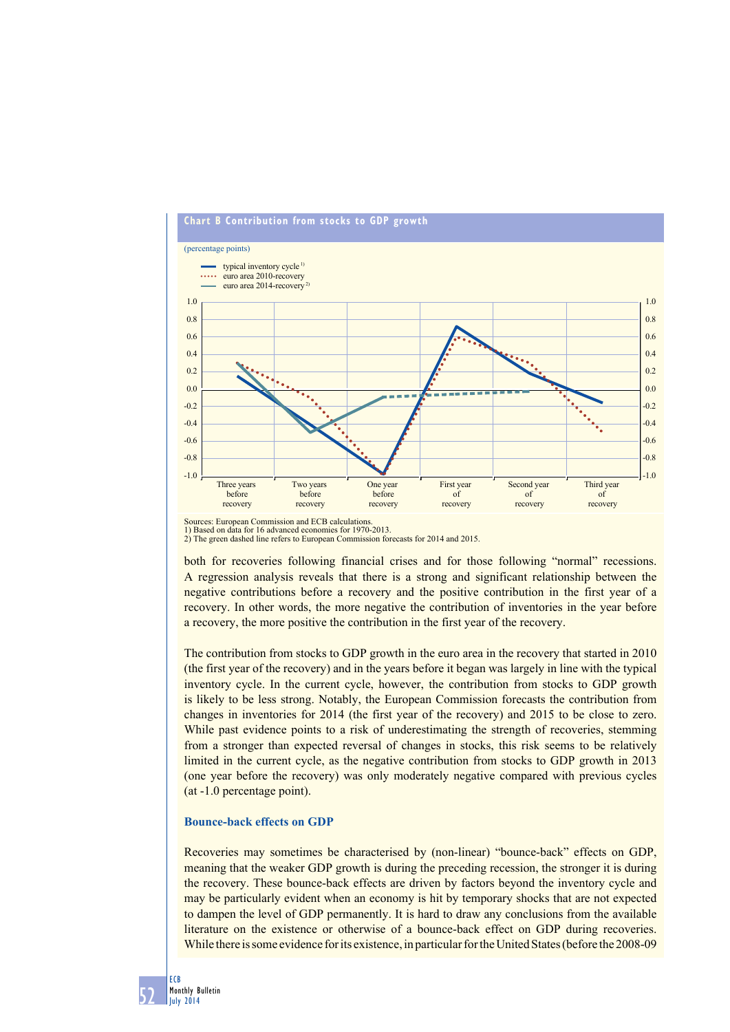

Sources: European Commission and ECB calculations. 1) Based on data for 16 advanced economies for 1970-2013. 2) The green dashed line refers to European Commission forecasts for 2014 and 2015.

both for recoveries following financial crises and for those following "normal" recessions. A regression analysis reveals that there is a strong and significant relationship between the negative contributions before a recovery and the positive contribution in the first year of a recovery. In other words, the more negative the contribution of inventories in the year before a recovery, the more positive the contribution in the first year of the recovery.

The contribution from stocks to GDP growth in the euro area in the recovery that started in 2010 (the first year of the recovery) and in the years before it began was largely in line with the typical inventory cycle. In the current cycle, however, the contribution from stocks to GDP growth is likely to be less strong. Notably, the European Commission forecasts the contribution from changes in inventories for 2014 (the first year of the recovery) and 2015 to be close to zero. While past evidence points to a risk of underestimating the strength of recoveries, stemming from a stronger than expected reversal of changes in stocks, this risk seems to be relatively limited in the current cycle, as the negative contribution from stocks to GDP growth in 2013 (one year before the recovery) was only moderately negative compared with previous cycles (at -1.0 percentage point).

## **Bounce-back effects on GDP**

Recoveries may sometimes be characterised by (non-linear) "bounce-back" effects on GDP, meaning that the weaker GDP growth is during the preceding recession, the stronger it is during the recovery. These bounce-back effects are driven by factors beyond the inventory cycle and may be particularly evident when an economy is hit by temporary shocks that are not expected to dampen the level of GDP permanently. It is hard to draw any conclusions from the available literature on the existence or otherwise of a bounce-back effect on GDP during recoveries. While there is some evidence for its existence, in particular for the United States (before the 2008-09